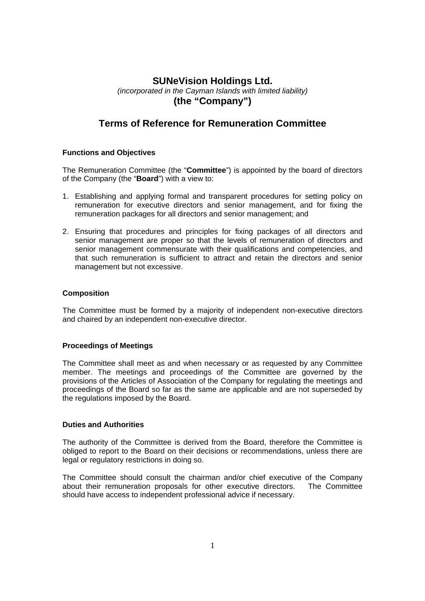# **SUNeVision Holdings Ltd.**

*(incorporated in the Cayman Islands with limited liability)*  **(the "Company")** 

# **Terms of Reference for Remuneration Committee**

## **Functions and Objectives**

The Remuneration Committee (the "**Committee**") is appointed by the board of directors of the Company (the "**Board**") with a view to:

- 1. Establishing and applying formal and transparent procedures for setting policy on remuneration for executive directors and senior management, and for fixing the remuneration packages for all directors and senior management; and
- 2. Ensuring that procedures and principles for fixing packages of all directors and senior management are proper so that the levels of remuneration of directors and senior management commensurate with their qualifications and competencies, and that such remuneration is sufficient to attract and retain the directors and senior management but not excessive.

### **Composition**

The Committee must be formed by a majority of independent non-executive directors and chaired by an independent non-executive director.

#### **Proceedings of Meetings**

The Committee shall meet as and when necessary or as requested by any Committee member. The meetings and proceedings of the Committee are governed by the provisions of the Articles of Association of the Company for regulating the meetings and proceedings of the Board so far as the same are applicable and are not superseded by the regulations imposed by the Board.

#### **Duties and Authorities**

The authority of the Committee is derived from the Board, therefore the Committee is obliged to report to the Board on their decisions or recommendations, unless there are legal or regulatory restrictions in doing so.

The Committee should consult the chairman and/or chief executive of the Company about their remuneration proposals for other executive directors. The Committee should have access to independent professional advice if necessary.